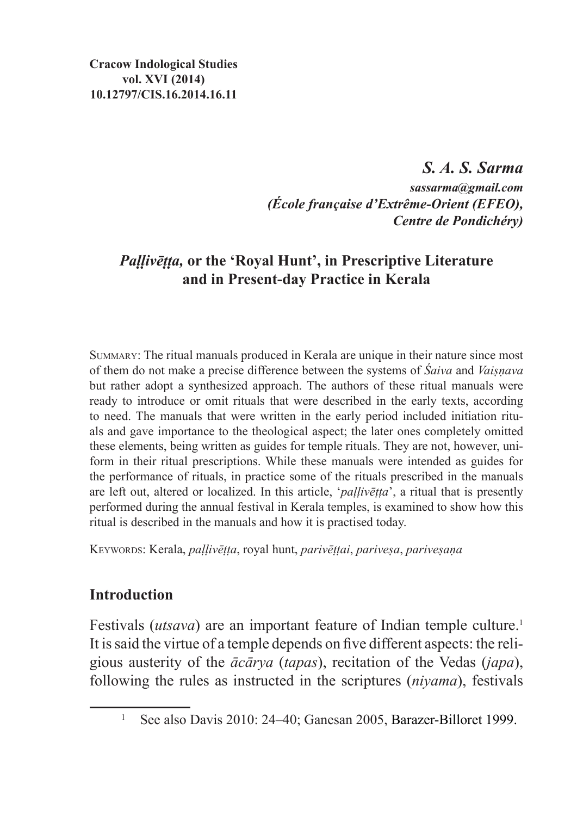*S. A. S. Sarma sassarma@gmail.com (École française d'Extrême-Orient (EFEO), Centre de Pondichéry)*

# *Paḷḷivēṭṭa,* **or the 'Royal Hunt', in Prescriptive Literature and in Present-day Practice in Kerala**

Summary: The ritual manuals produced in Kerala are unique in their nature since most of them do not make a precise difference between the systems of *Śaiva* and *Vaiṣṇava* but rather adopt a synthesized approach. The authors of these ritual manuals were ready to introduce or omit rituals that were described in the early texts, according to need. The manuals that were written in the early period included initiation rituals and gave importance to the theological aspect; the later ones completely omitted these elements, being written as guides for temple rituals. They are not, however, uniform in their ritual prescriptions. While these manuals were intended as guides for the performance of rituals, in practice some of the rituals prescribed in the manuals are left out, altered or localized. In this article, '*paḷḷivēṭṭa*', a ritual that is presently performed during the annual festival in Kerala temples, is examined to show how this ritual is described in the manuals and how it is practised today.

Keywords: Kerala, *paḷḷivēṭṭa*, royal hunt, *parivēṭṭai*, *pariveṣa*, *pariveṣaṇa*

### **Introduction**

Festivals *(utsava)* are an important feature of Indian temple culture.<sup>1</sup> It issaid the virtue of a temple depends on five different aspects: the religious austerity of the *ācārya* (*tapas*), recitation of the Vedas (*japa*), following the rules as instructed in the scriptures (*niyama*), festivals

<sup>1</sup> See also Davis 2010: 24–40; Ganesan 2005, Barazer-Billoret 1999.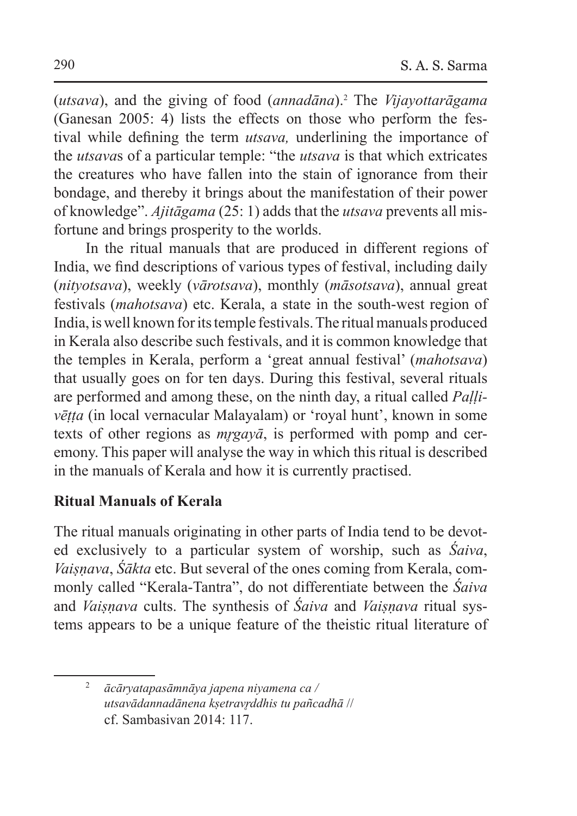(*utsava*), and the giving of food (*annadāna*).2 The *Vijayottarāgama* (Ganesan 2005: 4) lists the effects on those who perform the festival while defining the term *utsava,* underlining the importance of the *utsava*s of a particular temple: "the *utsava* is that which extricates the creatures who have fallen into the stain of ignorance from their bondage, and thereby it brings about the manifestation of their power of knowledge". *Ajitāgama* (25: 1) adds that the *utsava* prevents all misfortune and brings prosperity to the worlds.

In the ritual manuals that are produced in different regions of India, we find descriptions of various types of festival, including daily (*nityotsava*), weekly (*vārotsava*), monthly (*māsotsava*), annual great festivals (*mahotsava*) etc. Kerala, a state in the south-west region of India, iswell known for its temple festivals. The ritual manuals produced in Kerala also describe such festivals, and it is common knowledge that the temples in Kerala, perform a 'great annual festival' (*mahotsava*) that usually goes on for ten days. During this festival, several rituals are performed and among these, on the ninth day, a ritual called *Paḷḷivēṭṭa* (in local vernacular Malayalam) or 'royal hunt', known in some texts of other regions as *mr̥gayā*, is performed with pomp and ceremony. This paper will analyse the way in which this ritual is described in the manuals of Kerala and how it is currently practised.

### **Ritual Manuals of Kerala**

The ritual manuals originating in other parts of India tend to be devoted exclusively to a particular system of worship, such as *Śaiva*, *Vaiṣṇava*, *Śākta* etc. But several of the ones coming from Kerala, commonly called "Kerala-Tantra", do not differentiate between the *Śaiva*  and *Vaiṣṇava* cults. The synthesis of *Śaiva* and *Vaiṣṇava* ritual systems appears to be a unique feature of the theistic ritual literature of

<sup>2</sup> *ācāryatapasāmnāya japena niyamena ca / utsavādannadānena kṣetravr̥ddhis tu pañcadhā* // cf. Sambasivan 2014: 117.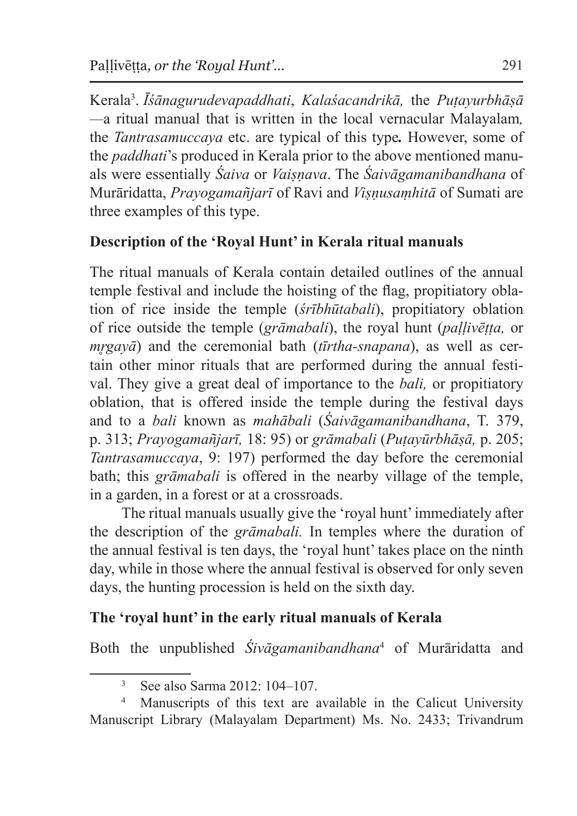Kerala3 . *Īśānagurudevapaddhati*, *Kalaśacandrikā,* the *Puṭayurbhāṣā —*a ritual manual that is written in the local vernacular Malayalam*,* the *Tantrasamuccaya* etc. are typical of this type*.* However, some of the *paddhati*'s produced in Kerala prior to the above mentioned manuals were essentially *Śaiva* or *Vaiṣṇava*. The *Śaivāgamanibandhana* of Murāridatta, *Prayogamañjarī* of Ravi and *Viṣṇusaṃhitā* of Sumati are three examples of this type.

## **Description of the 'Royal Hunt' in Kerala ritual manuals**

The ritual manuals of Kerala contain detailed outlines of the annual temple festival and include the hoisting of the flag, propitiatory oblation of rice inside the temple (*śrībhūtabali*), propitiatory oblation of rice outside the temple (*grāmabali*), the royal hunt (*paḷḷivēṭṭa,* or *mrgayā*) and the ceremonial bath (*tīrtha-snapana*), as well as certain other minor rituals that are performed during the annual festival. They give a great deal of importance to the *bali,* or propitiatory oblation, that is offered inside the temple during the festival days and to a *bali* known as *mahābali* (*Śaivāgamanibandhana*, T. 379, p. 313; *Prayogamañjarī,* 18: 95) or *grāmabali* (*Puṭayūrbhāṣā,* p. 205; *Tantrasamuccaya*, 9: 197) performed the day before the ceremonial bath; this *grāmabali* is offered in the nearby village of the temple, in a garden, in a forest or at a crossroads.

The ritual manuals usually give the 'royal hunt' immediately after the description of the *grāmabali.* In temples where the duration of the annual festival is ten days, the 'royal hunt' takes place on the ninth day, while in those where the annual festival is observed for only seven days, the hunting procession is held on the sixth day.

### **The 'royal hunt' in the early ritual manuals of Kerala**

Both the unpublished *Śivāgamanibandhana*<sup>4</sup> of Murāridatta and

<sup>3</sup> See also Sarma 2012: 104–107.

Manuscripts of this text are available in the Calicut University Manuscript Library (Malayalam Department) Ms. No. 2433; Trivandrum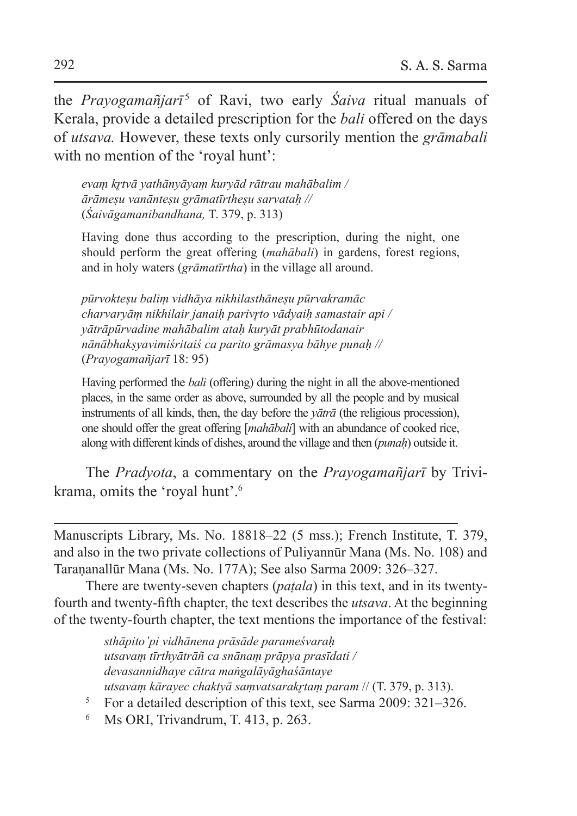the *Prayogamañjarī*<sup>5</sup> of Ravi, two early *Saiva* ritual manuals of Kerala, provide a detailed prescription for the *bali* offered on the days of *utsava.* However, these texts only cursorily mention the *grāmabali* with no mention of the 'royal hunt':

*evaṃ kr̥tvā yathānyāyaṃ kuryād rātrau mahābalim / ārāmeṣu vanānteṣu grāmatīrtheṣu sarvataḥ //* (*Śaivāgamanibandhana,* T. 379, p. 313)

Having done thus according to the prescription, during the night, one should perform the great offering (*mahābali*) in gardens, forest regions, and in holy waters (*grāmatīrtha*) in the village all around.

*pūrvokteṣu baliṃ vidhāya nikhilasthāneṣu pūrvakramāc charvaryāṃ nikhilair janaiḥ parivr̥to vādyaiḥ samastair api / yātrāpūrvadine mahābalim ataḥ kuryāt prabhūtodanair nānābhakṣyavimiśritaiś ca parito grāmasya bāhye punaḥ //* (*Prayogamañjarī* 18: 95)

Having performed the *bali* (offering) during the night in all the above-mentioned places, in the same order as above, surrounded by all the people and by musical instruments of all kinds, then, the day before the *yātrā* (the religious procession), one should offer the great offering [*mahābali*] with an abundance of cooked rice, along with different kinds of dishes, around the village and then (*punaḥ*) outside it.

The *Pradyota*, a commentary on the *Prayogamañjarī* by Trivikrama, omits the 'royal hunt'.6

Manuscripts Library, Ms. No. 18818–22 (5 mss.); French Institute, T. 379, and also in the two private collections of Puliyannūr Mana (Ms. No. 108) and Taraṇanallūr Mana (Ms. No. 177A); See also Sarma 2009: 326–327.

There are twenty-seven chapters (*paṭala*) in this text, and in its twentyfourth and twenty-fifth chapter, the text describes the *utsava*. At the beginning of the twenty-fourth chapter, the text mentions the importance of the festival:

> *sthāpito'pi vidhānena prāsāde parameśvaraḥ utsavaṃ tīrthyātrāñ ca snānaṃ prāpya prasīdati / devasannidhaye cātra maṅgalāyāghaśāntaye utsavaṃ kārayec chaktyā saṃvatsarakr̥taṃ param* // (T. 379, p. 313).

- <sup>5</sup> For a detailed description of this text, see Sarma 2009: 321–326.
- <sup>6</sup> Ms ORI, Trivandrum, T. 413, p. 263.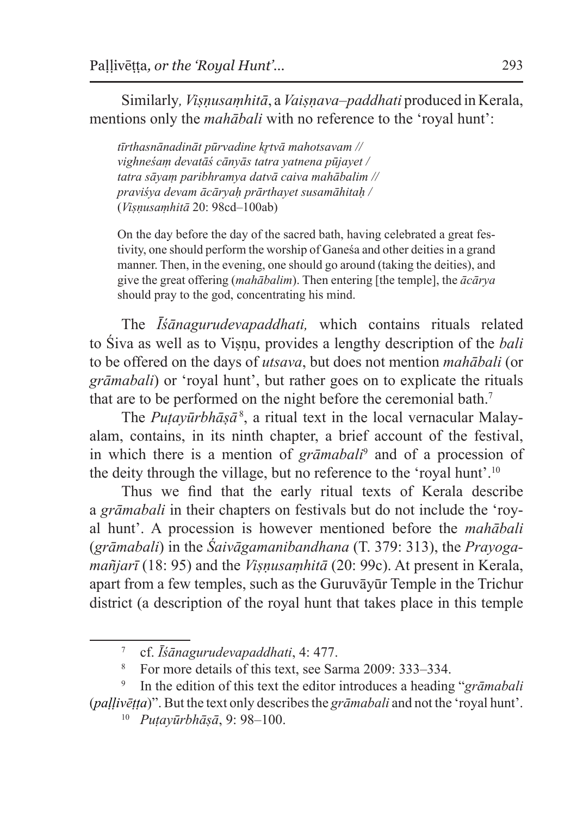Similarly*, Viṣṇusaṃhitā*, a*Vaiṣṇava–paddhati* produced in Kerala, mentions only the *mahābali* with no reference to the 'royal hunt':

*tīrthasnānadināt pūrvadine kr̥tvā mahotsavam // vighneśaṃ devatāś cānyās tatra yatnena pūjayet / tatra sāyaṃ paribhramya datvā caiva mahābalim // praviśya devam ācāryaḥ prārthayet susamāhitaḥ /* (*Viṣṇusaṃhitā* 20: 98cd–100ab)

On the day before the day of the sacred bath, having celebrated a great festivity, one should perform the worship of Ganeśa and other deities in a grand manner. Then, in the evening, one should go around (taking the deities), and give the great offering (*mahābalim*). Then entering [the temple], the *ācārya* should pray to the god, concentrating his mind.

The *Īśānagurudevapaddhati,* which contains rituals related to Śiva as well as to Viṣṇu, provides a lengthy description of the *bali* to be offered on the days of *utsava*, but does not mention *mahābali* (or *grāmabali*) or 'royal hunt', but rather goes on to explicate the rituals that are to be performed on the night before the ceremonial bath.<sup>7</sup>

The *Puṭayūrbhāṣā*<sup>8</sup>, a ritual text in the local vernacular Malayalam, contains, in its ninth chapter, a brief account of the festival, in which there is a mention of *grāmabali*<sup>9</sup> and of a procession of the deity through the village, but no reference to the 'royal hunt'.10

Thus we find that the early ritual texts of Kerala describe a *grāmabali* in their chapters on festivals but do not include the 'royal hunt'. A procession is however mentioned before the *mahābali* (*grāmabali*) in the *Śaivāgamanibandhana* (T. 379: 313), the *Prayogamañjarī* (18: 95) and the *Viṣṇusaṃhitā* (20: 99c). At present in Kerala, apart from a few temples, such as the Guruvāyūr Temple in the Trichur district (a description of the royal hunt that takes place in this temple

<sup>7</sup> cf. *Īśānagurudevapaddhati*, 4: 477.

<sup>8</sup> For more details of this text, see Sarma 2009: 333–334.

<sup>9</sup> In the edition of this text the editor introduces a heading "*grāmabali* (*paḷḷivēṭṭa*)". But the text only describes the *grāmabali* and not the 'royal hunt'.

<sup>10</sup> *Puṭayūrbhāṣā*, 9: 98–100.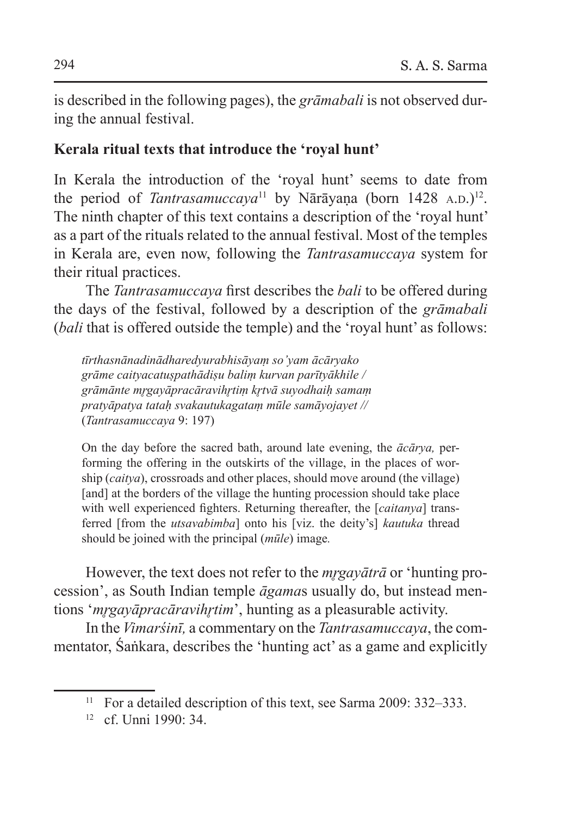is described in the following pages), the *grāmabali* is not observed during the annual festival.

### **Kerala ritual texts that introduce the 'royal hunt'**

In Kerala the introduction of the 'royal hunt' seems to date from the period of *Tantrasamuccaya*<sup>11</sup> by Nārāyaṇa (born 1428 A.D.)<sup>12</sup>. The ninth chapter of this text contains a description of the 'royal hunt' as a part of the rituals related to the annual festival. Most of the temples in Kerala are, even now, following the *Tantrasamuccaya* system for their ritual practices.

The *Tantrasamuccaya* first describes the *bali* to be offered during the days of the festival, followed by a description of the *grāmabali* (*bali* that is offered outside the temple) and the 'royal hunt' as follows:

*tīrthasnānadinādharedyurabhisāyaṃ so'yam ācāryako grāme caityacatuṣpathādiṣu baliṃ kurvan parītyākhile / grāmānte mr̥gayāpracāravihr̥tiṃ kr̥tvā suyodhaiḥ samaṃ pratyāpatya tataḥ svakautukagataṃ mūle samāyojayet //* (*Tantrasamuccaya* 9: 197)

On the day before the sacred bath, around late evening, the *ācārya,* performing the offering in the outskirts of the village, in the places of worship (*caitya*), crossroads and other places, should move around (the village) [and] at the borders of the village the hunting procession should take place with well experienced fighters. Returning thereafter, the [*caitanya*] transferred [from the *utsavabimba*] onto his [viz. the deity's] *kautuka* thread should be joined with the principal (*mūle*) image*.*

However, the text does not refer to the *mr̥gayātrā* or 'hunting procession', as South Indian temple *āgama*s usually do, but instead mentions '*mr̥gayāpracāravihr̥tim*', hunting as a pleasurable activity.

In the *Vimarśinī,* a commentary on the *Tantrasamuccaya*, the commentator, Śaṅkara, describes the 'hunting act' as a game and explicitly

<sup>&</sup>lt;sup>11</sup> For a detailed description of this text, see Sarma 2009: 332–333.

 $12$  cf. Unni 1990: 34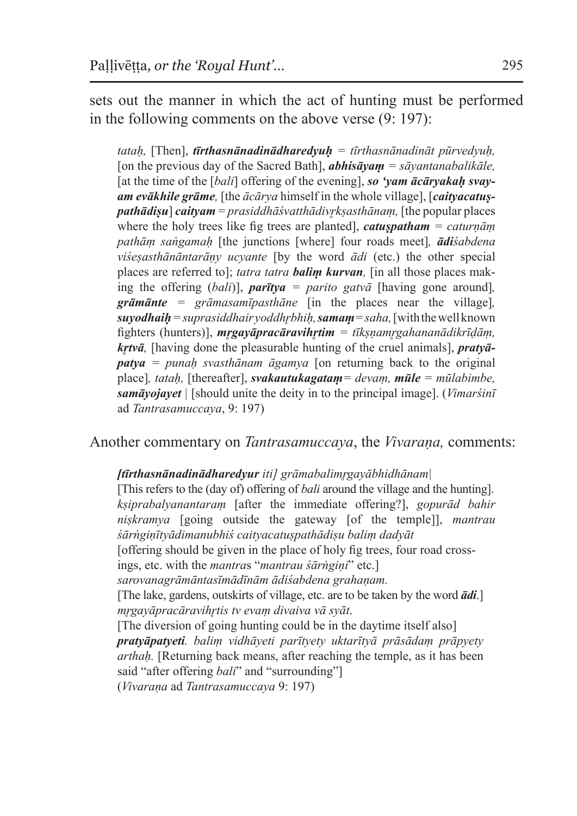sets out the manner in which the act of hunting must be performed in the following comments on the above verse (9: 197):

*tataḥ,* [Then], *tīrthasnānadinādharedyuḥ = tīrthasnānadināt pūrvedyuḥ,*  [on the previous day of the Sacred Bath], *abhisāyaṃ = sāyantanabalikāle,*  [at the time of the *[bali]* offering of the evening], so 'vam  $\vec{a}$  carvakah svav*am evākhile grāme,* [the *ācārya* himself in the whole village], [*caityacatuṣpathādiṣu*] *caityam* = *prasiddhāśvatthādivr̥kṣasthānaṃ,* [the popular places where the holy trees like fig trees are planted], *catuṣpatham = caturṇāṃ pathāṃ saṅgamaḥ* [the junctions [where] four roads meet]*, ādiśabdena viśeṣasthānāntarāṇy ucyante* [by the word *ādi* (etc.) the other special places are referred to]; *tatra tatra baliṃ kurvan,* [in all those places making the offering (*bali*)], *parītya = parito gatvā* [having gone around]*, grāmānte = grāmasamīpasthāne* [in the places near the village]*, suyodhaiḥ = suprasiddhair yoddhr̥bhiḥ, samaṃ= saha,* [with thewell known fighters (hunters)], *mr̥gayāpracāravihr̥tim = tīkṣṇamr̥gahananādikrīḍāṃ, kr̥tvā,* [having done the pleasurable hunting of the cruel animals], *pratyāpatya = punaḥ svasthānam āgamya* [on returning back to the original place]*, tataḥ,* [thereafter], *svakautukagataṃ= devaṃ, mūle = mūlabimbe, samāyojayet |* [should unite the deity in to the principal image]. (*Vimarśinī*  ad *Tantrasamuccaya*, 9: 197)

Another commentary on *Tantrasamuccaya*, the *Vivaraṇa,* comments:

#### *[tīrthasnānadinādharedyur iti] grāmabalimr̥gayābhidhānam|*

[This refers to the (day of) offering of *bali* around the village and the hunting]. *kṣiprabalyanantaraṃ* [after the immediate offering?], *gopurād bahir niṣkramya* [going outside the gateway [of the temple]], *mantrau śārṅgiṇītyādimanubhiś caityacatuṣpathādiṣu baliṃ dadyāt*  [offering should be given in the place of holy fig trees, four road crossings, etc. with the *mantra*s "*mantrau śārṅgiṇi*" etc.] *sarovanagrāmāntasīmādīnām ādiśabdena grahaṇam.* [The lake, gardens, outskirts of village, etc. are to be taken by the word *ādi*.] *mr̥gayāpracāravihr̥tis tv evaṃ divaiva vā syāt*. [The diversion of going hunting could be in the daytime itself also] *pratyāpatyeti. baliṃ vidhāyeti parītyety uktarītyā prāsādaṃ prāpyety arthaḥ.* [Returning back means, after reaching the temple, as it has been said "after offering *bali*" and "surrounding"] (*Vivaraṇa* ad *Tantrasamuccaya* 9: 197)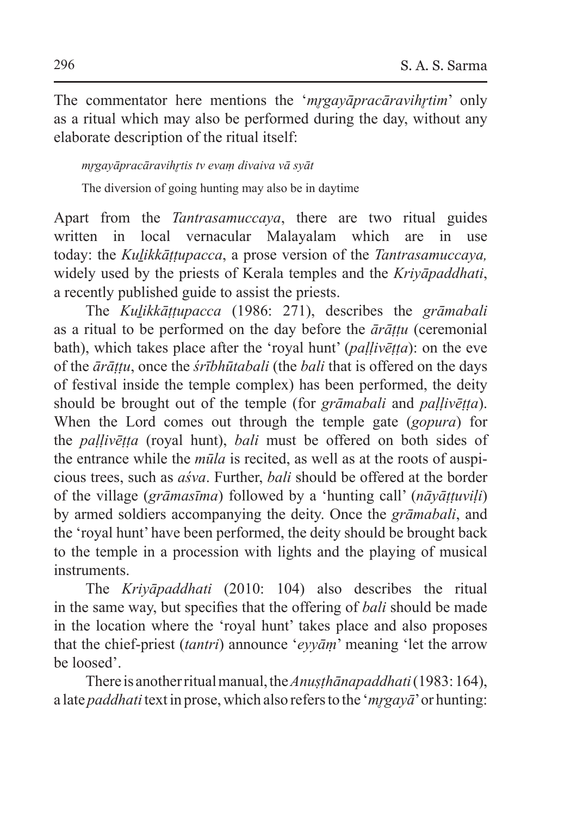The commentator here mentions the '*mrgayāpracāravihrtim*' only as a ritual which may also be performed during the day, without any elaborate description of the ritual itself:

### *mr̥gayāpracāravihr̥tis tv evaṃ divaiva vā syāt*

The diversion of going hunting may also be in daytime

Apart from the *Tantrasamuccaya*, there are two ritual guides written in local vernacular Malayalam which are in use today: the *Kuḻikkāṭṭupacca*, a prose version of the *Tantrasamuccaya,* widely used by the priests of Kerala temples and the *Kriyāpaddhati*, a recently published guide to assist the priests.

The *Kuḻikkāṭṭupacca* (1986: 271), describes the *grāmabali* as a ritual to be performed on the day before the *ārāṭṭu* (ceremonial bath), which takes place after the 'royal hunt' (*paḷḷivēṭṭa*): on the eve of the *ārāṭṭu*, once the *śrībhūtabali* (the *bali* that is offered on the days of festival inside the temple complex) has been performed, the deity should be brought out of the temple (for *grāmabali* and *paḷḷivēṭṭa*). When the Lord comes out through the temple gate (*gopura*) for the *paḷḷivēṭṭa* (royal hunt), *bali* must be offered on both sides of the entrance while the *mūla* is recited, as well as at the roots of auspicious trees, such as *aśva*. Further, *bali* should be offered at the border of the village (*grāmasīma*) followed by a 'hunting call' (*nāyāṭṭuviḷi*) by armed soldiers accompanying the deity. Once the *grāmabali*, and the 'royal hunt' have been performed, the deity should be brought back to the temple in a procession with lights and the playing of musical instruments.

The *Kriyāpaddhati* (2010: 104) also describes the ritual in the same way, but specifies that the offering of *bali* should be made in the location where the 'royal hunt' takes place and also proposes that the chief-priest (*tantri*) announce '*eyyāṃ*' meaning 'let the arrow be loosed'.

There is another ritual manual, the*Anuṣṭhānapaddhati* (1983:164), a late *paddhati* text in prose, which also refers to the '*mr̥gayā*' or hunting: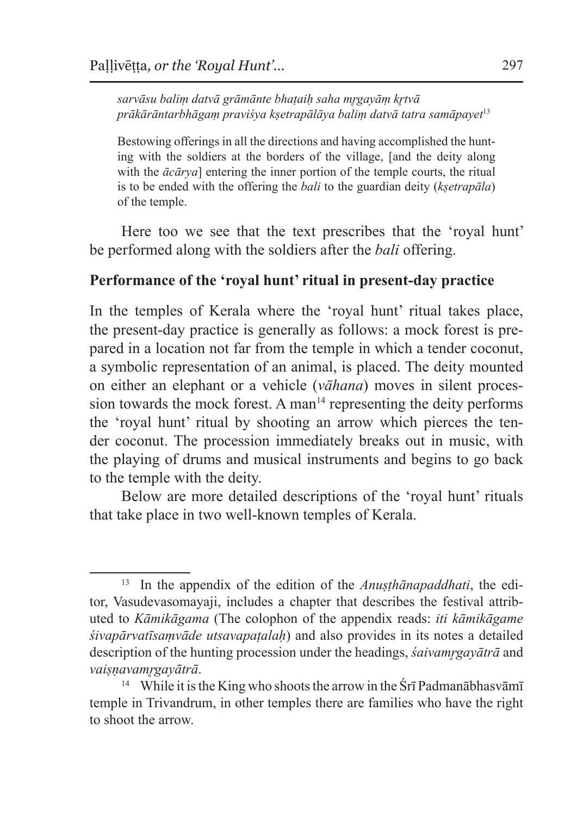*sarvāsu baliṃ datvā grāmānte bhaṭaiḥ saha mr̥gayāṃ kr̥tvā prākārāntarbhāgaṃ praviśya kṣetrapālāya baliṃ datvā tatra samāpayet*<sup>13</sup>

Bestowing offerings in all the directions and having accomplished the hunting with the soldiers at the borders of the village, [and the deity along with the *ācārya*] entering the inner portion of the temple courts, the ritual is to be ended with the offering the *bali* to the guardian deity (*kṣetrapāla*) of the temple.

Here too we see that the text prescribes that the 'royal hunt' be performed along with the soldiers after the *bali* offering.

#### **Performance of the 'royal hunt' ritual in present-day practice**

In the temples of Kerala where the 'royal hunt' ritual takes place, the present-day practice is generally as follows: a mock forest is prepared in a location not far from the temple in which a tender coconut, a symbolic representation of an animal, is placed. The deity mounted on either an elephant or a vehicle (*vāhana*) moves in silent procession towards the mock forest. A man $14$  representing the deity performs the 'royal hunt' ritual by shooting an arrow which pierces the tender coconut. The procession immediately breaks out in music, with the playing of drums and musical instruments and begins to go back to the temple with the deity.

Below are more detailed descriptions of the 'royal hunt' rituals that take place in two well-known temples of Kerala.

<sup>13</sup> In the appendix of the edition of the *Anuṣṭhānapaddhati*, the editor, Vasudevasomayaji, includes a chapter that describes the festival attributed to *Kāmikāgama* (The colophon of the appendix reads: *iti kāmikāgame śivapārvatīsaṃvāde utsavapaṭalaḥ*) and also provides in its notes a detailed description of the hunting procession under the headings, *śaivamrgayātrā* and *vaiṣṇavamr̥gayātrā*.

<sup>&</sup>lt;sup>14</sup> While it is the King who shoots the arrow in the Śrī Padmanābhasvāmī temple in Trivandrum, in other temples there are families who have the right to shoot the arrow.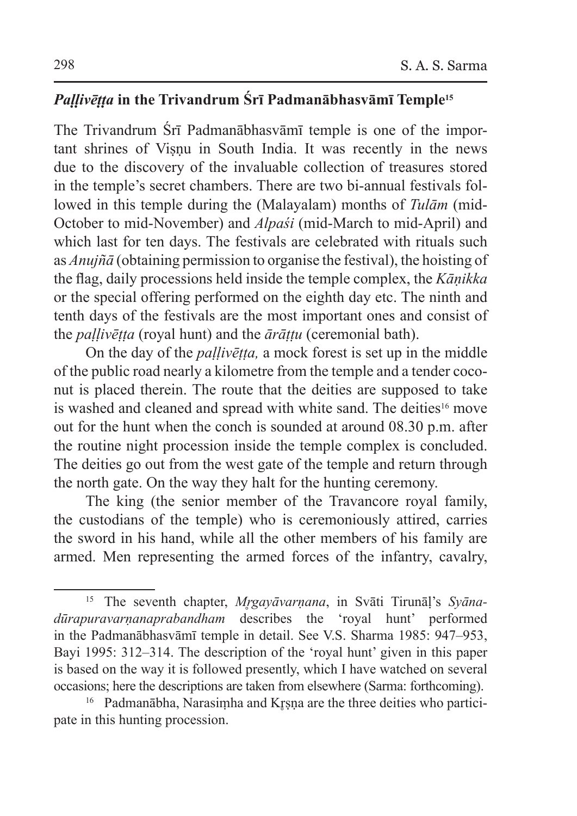### *Paḷḷivēṭṭa* **in the Trivandrum Śrī Padmanābhasvāmī Temple15**

The Trivandrum Śrī Padmanābhasvāmī temple is one of the important shrines of Visnu in South India. It was recently in the news due to the discovery of the invaluable collection of treasures stored in the temple's secret chambers. There are two bi-annual festivals followed in this temple during the (Malayalam) months of *Tulām* (mid-October to mid-November) and *Alpaśi* (mid-March to mid-April) and which last for ten days. The festivals are celebrated with rituals such as *Anujñā* (obtaining permission to organise the festival), the hoisting of the flag, daily processions held inside the temple complex, the *Kāṇikka* or the special offering performed on the eighth day etc. The ninth and tenth days of the festivals are the most important ones and consist of the *paḷḷivēṭṭa* (royal hunt) and the *ārāṭṭu* (ceremonial bath).

On the day of the *paḷḷivēṭṭa,* a mock forest is set up in the middle of the public road nearly a kilometre from the temple and a tender coconut is placed therein. The route that the deities are supposed to take is washed and cleaned and spread with white sand. The deities<sup>16</sup> move out for the hunt when the conch is sounded at around 08.30 p.m. after the routine night procession inside the temple complex is concluded. The deities go out from the west gate of the temple and return through the north gate. On the way they halt for the hunting ceremony.

The king (the senior member of the Travancore royal family, the custodians of the temple) who is ceremoniously attired, carries the sword in his hand, while all the other members of his family are armed. Men representing the armed forces of the infantry, cavalry,

<sup>&</sup>lt;sup>15</sup> The seventh chapter, *Mrgayāvarnana*, in Svāti Tirunāl's Syāna*dūrapuravarṇanaprabandham* describes the 'royal hunt' performed in the Padmanābhasvāmī temple in detail. See V.S. Sharma 1985: 947–953, Bayi 1995: 312–314. The description of the 'royal hunt' given in this paper is based on the way it is followed presently, which I have watched on several occasions; here the descriptions are taken from elsewhere (Sarma: forthcoming).

<sup>&</sup>lt;sup>16</sup> Padmanābha, Narasimha and Krsna are the three deities who participate in this hunting procession.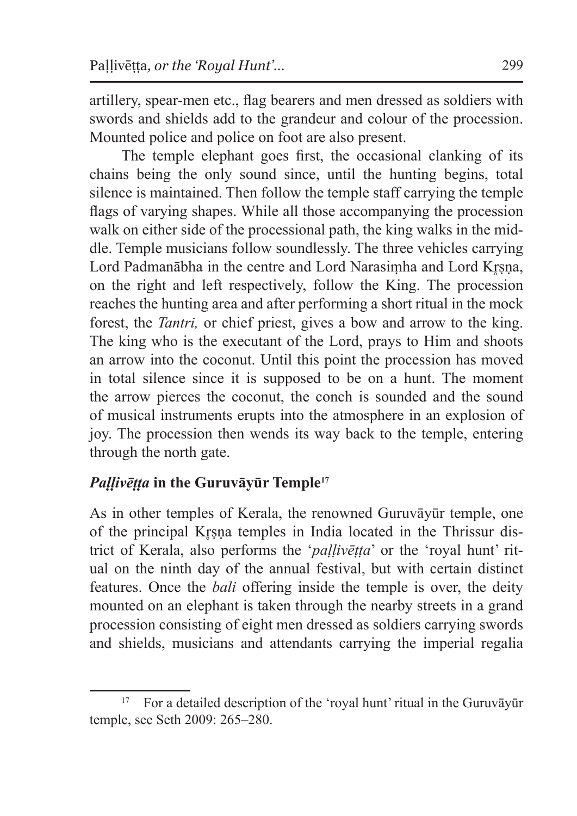artillery, spear-men etc., flag bearers and men dressed as soldiers with swords and shields add to the grandeur and colour of the procession. Mounted police and police on foot are also present.

The temple elephant goes first, the occasional clanking of its chains being the only sound since, until the hunting begins, total silence is maintained. Then follow the temple staff carrying the temple flags of varying shapes. While all those accompanying the procession walk on either side of the processional path, the king walks in the middle. Temple musicians follow soundlessly. The three vehicles carrying Lord Padmanābha in the centre and Lord Narasimha and Lord Krsna, on the right and left respectively, follow the King. The procession reaches the hunting area and after performing a short ritual in the mock forest, the *Tantri,* or chief priest, gives a bow and arrow to the king. The king who is the executant of the Lord, prays to Him and shoots an arrow into the coconut. Until this point the procession has moved in total silence since it is supposed to be on a hunt. The moment the arrow pierces the coconut, the conch is sounded and the sound of musical instruments erupts into the atmosphere in an explosion of joy. The procession then wends its way back to the temple, entering through the north gate.

### *Paḷḷivēṭṭa* **in the Guruvāyūr Temple<sup>17</sup>**

As in other temples of Kerala, the renowned Guruvāyūr temple, one of the principal Krsna temples in India located in the Thrissur district of Kerala, also performs the '*paḷḷivēṭṭa*' or the 'royal hunt' ritual on the ninth day of the annual festival, but with certain distinct features. Once the *bali* offering inside the temple is over, the deity mounted on an elephant is taken through the nearby streets in a grand procession consisting of eight men dressed as soldiers carrying swords and shields, musicians and attendants carrying the imperial regalia

<sup>&</sup>lt;sup>17</sup> For a detailed description of the 'royal hunt' ritual in the Guruvāyūr temple, see Seth 2009: 265–280.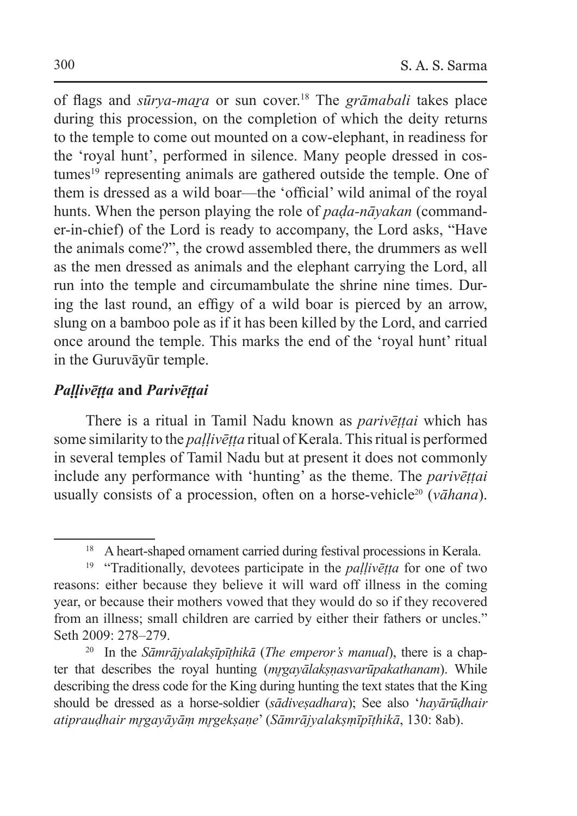of flags and *sūrya-maṟa* or sun cover.18 The *grāmabali* takes place during this procession, on the completion of which the deity returns to the temple to come out mounted on a cow-elephant, in readiness for the 'royal hunt', performed in silence. Many people dressed in costumes<sup>19</sup> representing animals are gathered outside the temple. One of them is dressed as a wild boar—the 'official' wild animal of the royal hunts. When the person playing the role of *paḍa-nāyakan* (commander-in-chief) of the Lord is ready to accompany, the Lord asks, "Have the animals come?", the crowd assembled there, the drummers as well as the men dressed as animals and the elephant carrying the Lord, all run into the temple and circumambulate the shrine nine times. During the last round, an effigy of a wild boar is pierced by an arrow, slung on a bamboo pole as if it has been killed by the Lord, and carried once around the temple. This marks the end of the 'royal hunt' ritual in the Guruvāyūr temple.

#### *Paḷḷivēṭṭa* **and** *Parivēṭṭai*

There is a ritual in Tamil Nadu known as *parivēṭṭai* which has some similarity to the *paḷḷivēṭṭa* ritual of Kerala. Thisritual is performed in several temples of Tamil Nadu but at present it does not commonly include any performance with 'hunting' as the theme. The *parivēṭṭai* usually consists of a procession, often on a horse-vehicle20 (*vāhana*).

<sup>&</sup>lt;sup>18</sup> A heart-shaped ornament carried during festival processions in Kerala.

<sup>19</sup> "Traditionally, devotees participate in the *paḷḷivēṭṭa* for one of two reasons: either because they believe it will ward off illness in the coming year, or because their mothers vowed that they would do so if they recovered from an illness; small children are carried by either their fathers or uncles." Seth 2009: 278–279.

<sup>20</sup> In the *Sāmrājyalakṣīpīṭhikā* (*The emperor's manual*), there is a chapter that describes the royal hunting (*mr̥gayālakṣṇasvarūpakathanam*). While describing the dress code for the King during hunting the text states that the King should be dressed as a horse-soldier (*sādiveṣadhara*); See also '*hayārūḍhair atiprauḍhair mr̥gayāyāṃ mr̥gekṣaṇe*' (*Sāmrājyalakṣṃīpīṭhikā*, 130: 8ab).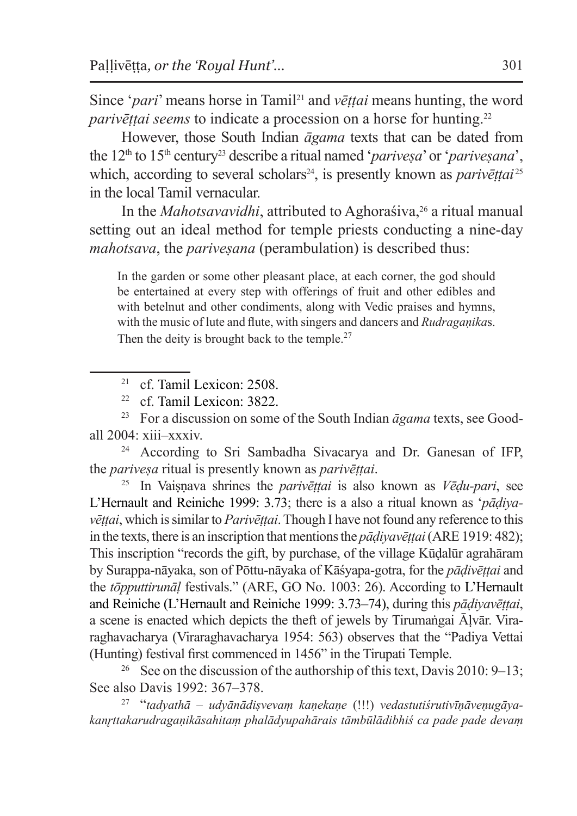Since '*pari*' means horse in Tamil<sup>21</sup> and *vēttai* means hunting, the word *parivēttai seems* to indicate a procession on a horse for hunting.<sup>22</sup>

However, those South Indian *āgama* texts that can be dated from the 12<sup>th</sup> to 15<sup>th</sup> century<sup>23</sup> describe a ritual named '*pariveșa*' or '*pariveșana*', which, according to several scholars<sup>24</sup>, is presently known as *parivēttai*<sup>25</sup> in the local Tamil vernacular.

In the *Mahotsavavidhi*, attributed to Aghorasiva,<sup>26</sup> a ritual manual setting out an ideal method for temple priests conducting a nine-day *mahotsava*, the *pariveṣana* (perambulation) is described thus:

In the garden or some other pleasant place, at each corner, the god should be entertained at every step with offerings of fruit and other edibles and with betelnut and other condiments, along with Vedic praises and hymns, with the music of lute and flute, with singers and dancers and *Rudragaṇika*s. Then the deity is brought back to the temple. $27$ 

the *pariveṣa* ritual is presently known as *parivēṭṭai*.

<sup>25</sup> In Vaiṣṇava shrines the *parivēṭṭai* is also known as *Vēḍu-pari*, see L'Hernault and Reiniche 1999: 3.73; there is a also a ritual known as '*pāḍiyavēṭṭai*, which issimilar to *Parivēṭṭai*. Though I have not found any reference to this in the texts, there is an inscription that mentions the *pāḍiyavēṭṭai* (ARE 1919: 482); This inscription "records the gift, by purchase, of the village Kūḍalūr agrahāram by Surappa-nāyaka, son of Pōttu-nāyaka of Kāśyapa-gotra, for the *pāḍivēṭṭai* and the *tōpputtirunāḷ* festivals." (ARE, GO No. 1003: 26). According to L'Hernault and Reiniche (L'Hernault and Reiniche 1999: 3.73–74), during this *pāḍiyavēṭṭai*, a scene is enacted which depicts the theft of jewels by Tirumaṅgai Āḷvār. Viraraghavacharya (Viraraghavacharya 1954: 563) observes that the "Padiya Vettai (Hunting) festival first commenced in 1456" in the Tirupati Temple.

<sup>26</sup> See on the discussion of the authorship of this text, Davis 2010: 9–13; See also Davis 1992: 367–378. 27 "*tadyathā – udyānādiṣvevaṃ kaṇekaṇe* (!!!) *vedastutiśrutivīṇāveṇugāya-*

*kanr̥ttakarudragaṇikāsahitaṃ phalādyupahārais tāmbūlādibhiś ca pade pade devaṃ* 

<sup>21</sup> cf. Tamil Lexicon: 2508.

<sup>22</sup> cf. Tamil Lexicon: 3822.

<sup>23</sup> For a discussion on some of the South Indian *āgama* texts, see Goodall 2004: xiii–xxxiv. 24 According to Sri Sambadha Sivacarya and Dr. Ganesan of IFP,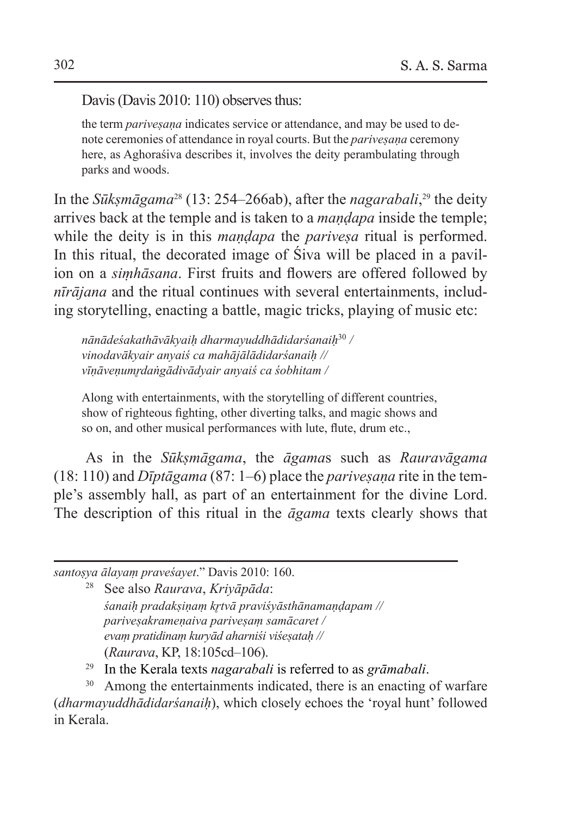Davis (Davis 2010: 110) observes thus:

the term *parivesana* indicates service or attendance, and may be used to denote ceremonies of attendance in royal courts. But the *pariveṣaṇa* ceremony here, as Aghoraśiva describes it, involves the deity perambulating through parks and woods.

In the *Sūkṣmāgama*28 (13: 254–266ab), after the *nagarabali*, 29 the deity arrives back at the temple and is taken to a *maṇḍapa* inside the temple; while the deity is in this *mandapa* the *parivesa* ritual is performed. In this ritual, the decorated image of Śiva will be placed in a pavilion on a *siṃhāsana*. First fruits and flowers are offered followed by *nīrājana* and the ritual continues with several entertainments, including storytelling, enacting a battle, magic tricks, playing of music etc:

*nānādeśakathāvākyaiḥ dharmayuddhādidarśanaiḥ*<sup>30</sup> */ vinodavākyair anyaiś ca mahājālādidarśanaiḥ // vīṇāveṇumr̥daṅgādivādyair anyaiś ca śobhitam /*

Along with entertainments, with the storytelling of different countries, show of righteous fighting, other diverting talks, and magic shows and so on, and other musical performances with lute, flute, drum etc.,

As in the *Sūkṣmāgama*, the *āgama*s such as *Rauravāgama*  $(18: 110)$  and *D<del>u</del> Dubtagama*  $(87: 1-6)$  place the *parivesana* rite in the temple's assembly hall, as part of an entertainment for the divine Lord. The description of this ritual in the *āgama* texts clearly shows that

*santoṣya ālayaṃ praveśayet*." Davis 2010: 160.

<sup>28</sup> See also *Raurava*, *Kriyāpāda*: *śanaiḥ pradakṣiṇaṃ kr̥tvā praviśyāsthānamaṇḍapam // pariveṣakrameṇaiva pariveṣaṃ samācaret / evaṃ pratidinaṃ kuryād aharniśi viśeṣataḥ //* (*Raurava*, KP, 18:105cd–106).

<sup>29</sup> In the Kerala texts *nagarabali* is referred to as *grāmabali*.

<sup>30</sup> Among the entertainments indicated, there is an enacting of warfare (*dharmayuddhādidarśanaiḥ*), which closely echoes the 'royal hunt' followed in Kerala.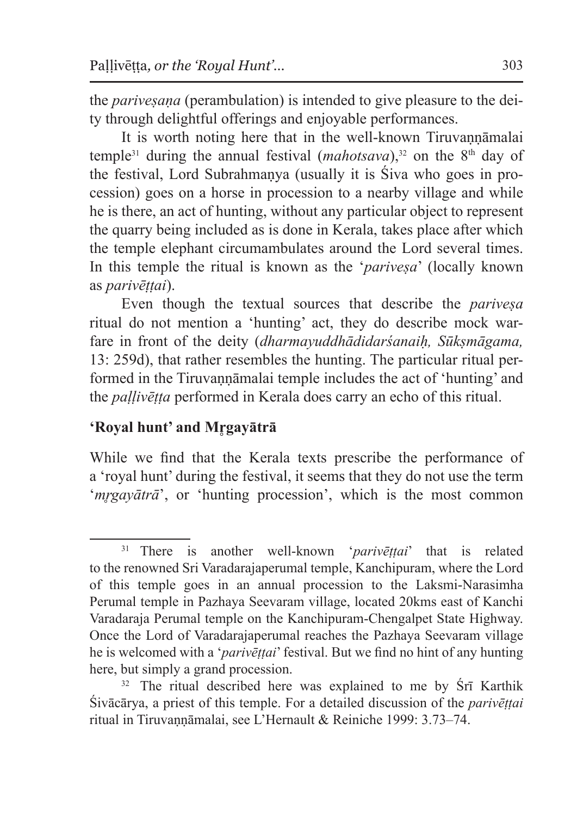the *parivesana* (perambulation) is intended to give pleasure to the deity through delightful offerings and enjoyable performances.

It is worth noting here that in the well-known Tiruvannamalai temple<sup>31</sup> during the annual festival (*mahotsava*),<sup>32</sup> on the 8<sup>th</sup> day of the festival, Lord Subrahmaṇya (usually it is Śiva who goes in procession) goes on a horse in procession to a nearby village and while he is there, an act of hunting, without any particular object to represent the quarry being included as is done in Kerala, takes place after which the temple elephant circumambulates around the Lord several times. In this temple the ritual is known as the '*pariveṣa*' (locally known as *parivēṭṭai*).

Even though the textual sources that describe the *pariveṣa* ritual do not mention a 'hunting' act, they do describe mock warfare in front of the deity (*dharmayuddhādidarśanaiḥ, Sūkṣmāgama,*  13: 259d), that rather resembles the hunting. The particular ritual performed in the Tiruvannāmalai temple includes the act of 'hunting' and the *paḷḷivēṭṭa* performed in Kerala does carry an echo of this ritual.

### **'Royal hunt' and Mr̥gayātrā**

While we find that the Kerala texts prescribe the performance of a 'royal hunt' during the festival, it seems that they do not use the term '*mrgayātrā*', or 'hunting procession', which is the most common

<sup>31</sup> There is another well-known '*parivēṭṭai*' that is related to the renowned Sri Varadarajaperumal temple, Kanchipuram, where the Lord of this temple goes in an annual procession to the Laksmi-Narasimha Perumal temple in Pazhaya Seevaram village, located 20kms east of Kanchi Varadaraja Perumal temple on the Kanchipuram-Chengalpet State Highway. Once the Lord of Varadarajaperumal reaches the Pazhaya Seevaram village he is welcomed with a '*parivēṭṭai*' festival. But we find no hint of any hunting here, but simply a grand procession.<br><sup>32</sup> The ritual described here was explained to me by Śrī Karthik

Śivācārya, a priest of this temple. For a detailed discussion of the *parivēṭṭai*  ritual in Tiruvannāmalai, see L'Hernault & Reiniche 1999: 3.73–74.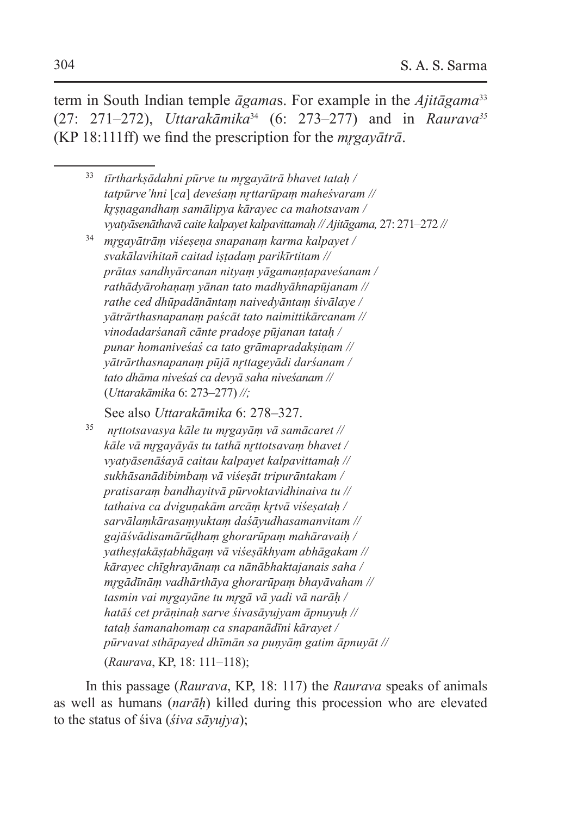term in South Indian temple *āgama*s. For example in the *Ajitāgama*<sup>33</sup> (27: 271–272), *Uttarakāmika*34 (6: 273–277) and in *Raurava35* (KP 18:111ff) we find the prescription for the *mr̥gayātrā*.

- <sup>33</sup> *tīrtharkṣādahni pūrve tu mr̥gayātrā bhavet tataḥ / tatpūrve'hni* [*ca*] *deveśaṃ nr̥ttarūpaṃ maheśvaram // kr̥ṣṇagandhaṃ samālipya kārayec ca mahotsavam / vyatyāsenāthavā caite kalpayet kalpavittamaḥ // Ajitāgama,* 27: 271–272 *//*
- <sup>34</sup> *mr̥gayātrāṃ viśeṣeṇa snapanaṃ karma kalpayet / svakālavihitañ caitad iṣṭadaṃ parikīrtitam // prātas sandhyārcanan nityaṃ yāgamaṇṭapaveśanam / rathādyārohaṇaṃ yānan tato madhyāhnapūjanam // rathe ced dhūpadānāntaṃ naivedyāntaṃ śivālaye / yātrārthasnapanaṃ paścāt tato naimittikārcanam // vinodadarśanañ cānte pradoṣe pūjanan tataḥ / punar homaniveśaś ca tato grāmapradakṣiṇam // yātrārthasnapanaṃ pūjā nr̥ttageyādi darśanam / tato dhāma niveśaś ca devyā saha niveśanam //*  (*Uttarakāmika* 6: 273–277) *//;*

See also *Uttarakāmika* 6: 278–327.

<sup>35</sup> *nr̥ttotsavasya kāle tu mr̥gayāṃ vā samācaret // kāle vā mr̥gayāyās tu tathā nr̥ttotsavaṃ bhavet / vyatyāsenāśayā caitau kalpayet kalpavittamaḥ // sukhāsanādibimbaṃ vā viśeṣāt tripurāntakam / pratisaraṃ bandhayitvā pūrvoktavidhinaiva tu // tathaiva ca dviguṇakām arcāṃ kr̥tvā viśeṣataḥ / sarvālaṃkārasaṃyuktaṃ daśāyudhasamanvitam // gajāśvādisamārūḍhaṃ ghorarūpaṃ mahāravaiḥ / yatheṣṭakāṣṭabhāgaṃ vā viśeṣākhyam abhāgakam // kārayec chīghrayānaṃ ca nānābhaktajanais saha / mr̥gādīnāṃ vadhārthāya ghorarūpaṃ bhayāvaham // tasmin vai mr̥gayāne tu mr̥gā vā yadi vā narāḥ / hatāś cet prāṇinaḥ sarve śivasāyujyam āpnuyuḥ // tataḥ śamanahomaṃ ca snapanādīni kārayet / pūrvavat sthāpayed dhīmān sa puṇyāṃ gatim āpnuyāt //*  (*Raurava*, KP, 18: 111–118);

In this passage (*Raurava*, KP, 18: 117) the *Raurava* speaks of animals as well as humans (*narāḥ*) killed during this procession who are elevated to the status of śiva (*śiva sāyujya*);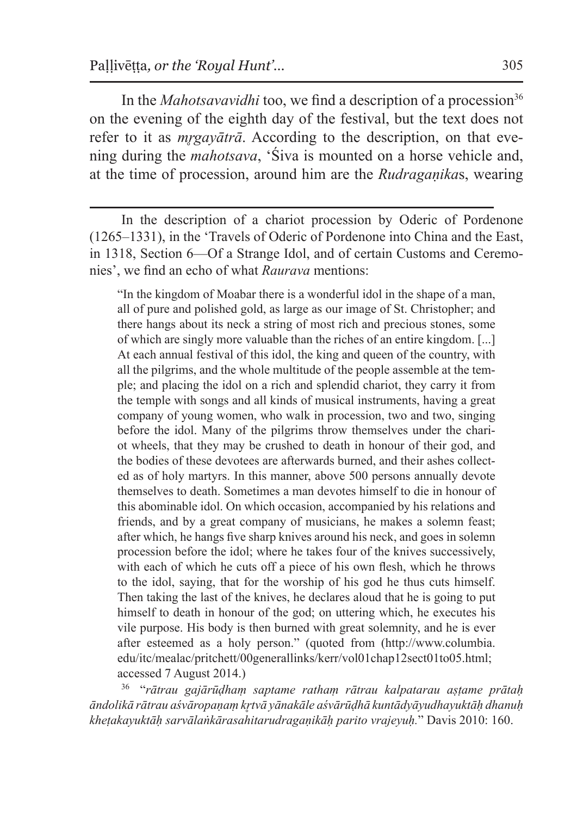In the *Mahotsavavidhi* too, we find a description of a procession<sup>36</sup> on the evening of the eighth day of the festival, but the text does not refer to it as *mrgayātrā*. According to the description, on that evening during the *mahotsava*, 'Śiva is mounted on a horse vehicle and, at the time of procession, around him are the *Rudragaṇika*s, wearing

In the description of a chariot procession by Oderic of Pordenone (1265–1331), in the 'Travels of Oderic of Pordenone into China and the East, in 1318, Section 6—Of a Strange Idol, and of certain Customs and Ceremonies', we find an echo of what *Raurava* mentions:

"In the kingdom of Moabar there is a wonderful idol in the shape of a man, all of pure and polished gold, as large as our image of St. Christopher; and there hangs about its neck a string of most rich and precious stones, some of which are singly more valuable than the riches of an entire kingdom. [...] At each annual festival of this idol, the king and queen of the country, with all the pilgrims, and the whole multitude of the people assemble at the temple; and placing the idol on a rich and splendid chariot, they carry it from the temple with songs and all kinds of musical instruments, having a great company of young women, who walk in procession, two and two, singing before the idol. Many of the pilgrims throw themselves under the chariot wheels, that they may be crushed to death in honour of their god, and the bodies of these devotees are afterwards burned, and their ashes collected as of holy martyrs. In this manner, above 500 persons annually devote themselves to death. Sometimes a man devotes himself to die in honour of this abominable idol. On which occasion, accompanied by his relations and friends, and by a great company of musicians, he makes a solemn feast; after which, he hangs five sharp knives around his neck, and goes in solemn procession before the idol; where he takes four of the knives successively, with each of which he cuts off a piece of his own flesh, which he throws to the idol, saying, that for the worship of his god he thus cuts himself. Then taking the last of the knives, he declares aloud that he is going to put himself to death in honour of the god; on uttering which, he executes his vile purpose. His body is then burned with great solemnity, and he is ever after esteemed as a holy person." (quoted from (http://www.columbia. edu/itc/mealac/pritchett/00generallinks/kerr/vol01chap12sect01to05.html; accessed 7 August 2014.)

<sup>36</sup> "*rātrau gajārūḍhaṃ saptame rathaṃ rātrau kalpatarau aṣṭame prātaḥ āndolikā rātrau aśvāropaṇaṃ kr̥tvā yānakāle aśvārūḍhā kuntādyāyudhayuktāḥ dhanuḥ kheṭakayuktāḥ sarvālaṅkārasahitarudragaṇikāḥ parito vrajeyuḥ.*" Davis 2010: 160.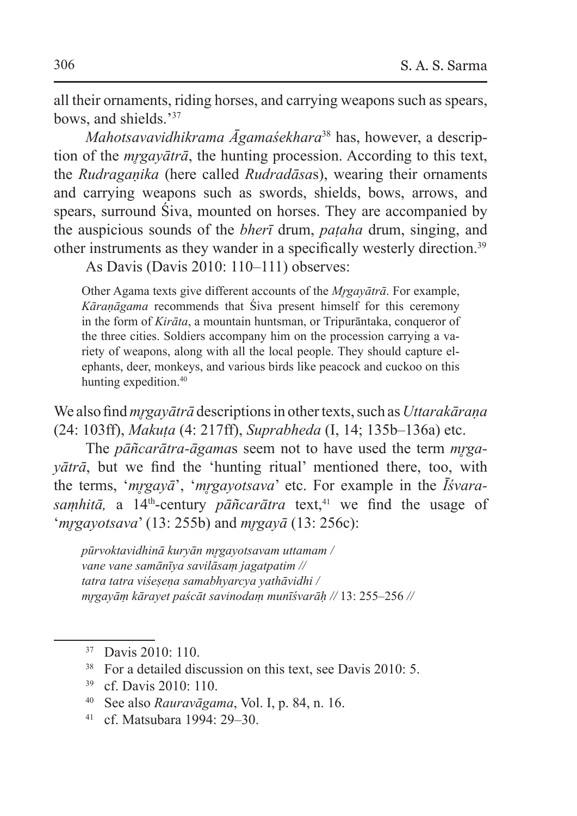all their ornaments, riding horses, and carrying weapons such as spears, bows, and shields.<sup>37</sup>

*Mahotsavavidhikrama Āgamaśekhara*38 has, however, a description of the *mr̥gayātrā*, the hunting procession. According to this text, the *Rudragaṇika* (here called *Rudradāsa*s), wearing their ornaments and carrying weapons such as swords, shields, bows, arrows, and spears, surround Śiva, mounted on horses. They are accompanied by the auspicious sounds of the *bherī* drum, *paṭaha* drum, singing, and other instruments as they wander in a specifically westerly direction.39

As Davis (Davis 2010: 110–111) observes:

Other Agama texts give different accounts of the *Mr̥gayātrā*. For example, *Kāraṇāgama* recommends that Śiva present himself for this ceremony in the form of *Kirāta*, a mountain huntsman, or Tripurāntaka, conqueror of the three cities. Soldiers accompany him on the procession carrying a variety of weapons, along with all the local people. They should capture elephants, deer, monkeys, and various birds like peacock and cuckoo on this hunting expedition.<sup>40</sup>

We also find *mr̥gayātrā* descriptions in other texts, such as *Uttarakāraṇa* (24: 103ff), *Makuṭa* (4: 217ff), *Suprabheda* (I, 14; 135b–136a) etc.

The *pāñcarātra-āgama*s seem not to have used the term *mr̥gayātrā*, but we find the 'hunting ritual' mentioned there, too, with the terms, '*mr̥gayā*', '*mr̥gayotsava*' etc. For example in the *Īśvarasamhitā*, a 14<sup>th</sup>-century *pāñcarātra* text,<sup>41</sup> we find the usage of '*mr̥gayotsava*' (13: 255b) and *mr̥gayā* (13: 256c):

*pūrvoktavidhinā kuryān mr̥gayotsavam uttamam / vane vane samānīya savilāsaṃ jagatpatim // tatra tatra viśeṣeṇa samabhyarcya yathāvidhi / mr̥gayāṃ kārayet paścāt savinodaṃ munīśvarāḥ //* 13: 255–256 *//*

- <sup>38</sup> For a detailed discussion on this text, see Davis 2010: 5.
- <sup>39</sup> cf. Davis 2010: 110.
- <sup>40</sup> See also *Rauravāgama*, Vol. I, p. 84, n. 16.
- <sup>41</sup> cf. Matsubara 1994: 29–30.

<sup>37</sup> Davis 2010: 110.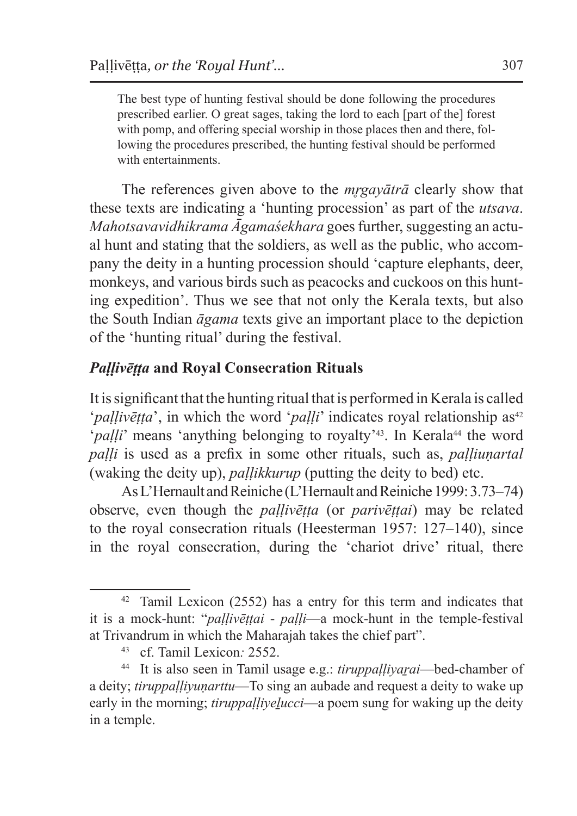The best type of hunting festival should be done following the procedures prescribed earlier. O great sages, taking the lord to each [part of the] forest with pomp, and offering special worship in those places then and there, following the procedures prescribed, the hunting festival should be performed with entertainments.

The references given above to the *mr̥gayātrā* clearly show that these texts are indicating a 'hunting procession' as part of the *utsava*. *Mahotsavavidhikrama Āgamaśekhara* goes further, suggesting an actual hunt and stating that the soldiers, as well as the public, who accompany the deity in a hunting procession should 'capture elephants, deer, monkeys, and various birds such as peacocks and cuckoos on this hunting expedition'. Thus we see that not only the Kerala texts, but also the South Indian *āgama* texts give an important place to the depiction of the 'hunting ritual' during the festival.

### *Paḷḷivēṭṭa* **and Royal Consecration Rituals**

It issignificant that the hunting ritual that is performed in Kerala is called '*pallivētta*', in which the word '*palli*' indicates royal relationship as<sup>42</sup> '*palli*' means 'anything belonging to royalty<sup>'43</sup>. In Kerala<sup>44</sup> the word *paḷḷi* is used as a prefix in some other rituals, such as, *paḷḷiuṇartal* (waking the deity up), *paḷḷikkurup* (putting the deity to bed) etc.

As L'Hernault and Reiniche (L'Hernault and Reiniche 1999:3.73–74) observe, even though the *paḷḷivēṭṭa* (or *parivēṭṭai*) may be related to the royal consecration rituals (Heesterman 1957: 127–140), since in the royal consecration, during the 'chariot drive' ritual, there

<sup>42</sup> Tamil Lexicon (2552) has a entry for this term and indicates that it is a mock-hunt: "*paḷḷivēṭṭai* - *paḷḷi*—a mock-hunt in the temple-festival at Trivandrum in which the Maharajah takes the chief part". 43 cf. Tamil Lexicon*:* 2552.

<sup>&</sup>lt;sup>44</sup> It is also seen in Tamil usage e.g.: *tiruppalliyarai*—bed-chamber of a deity; *tiruppaḷḷiyuṇarttu*—To sing an aubade and request a deity to wake up early in the morning; *tiruppalliyelucci*—a poem sung for waking up the deity in a temple.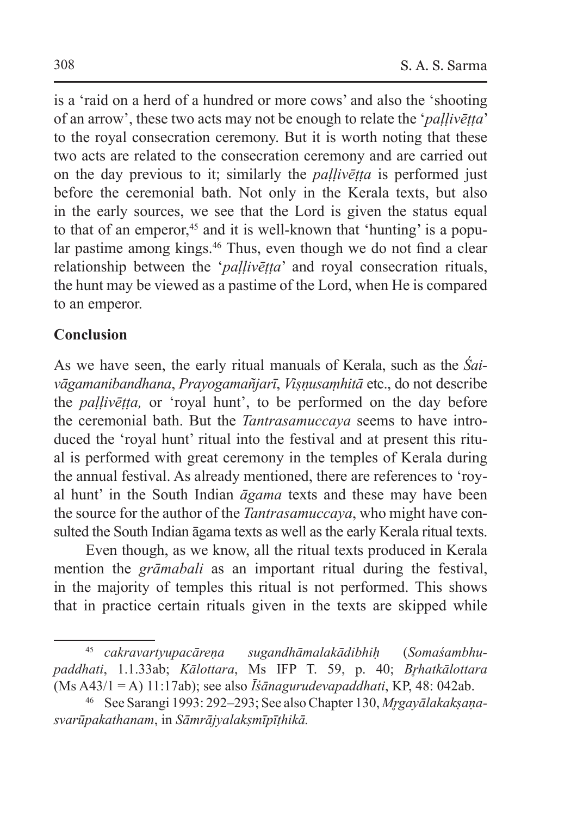is a 'raid on a herd of a hundred or more cows' and also the 'shooting of an arrow', these two acts may not be enough to relate the '*paḷḷivēṭṭa*' to the royal consecration ceremony. But it is worth noting that these two acts are related to the consecration ceremony and are carried out on the day previous to it; similarly the *paḷḷivēṭṭa* is performed just before the ceremonial bath. Not only in the Kerala texts, but also in the early sources, we see that the Lord is given the status equal to that of an emperor,<sup>45</sup> and it is well-known that 'hunting' is a popular pastime among kings.<sup>46</sup> Thus, even though we do not find a clear relationship between the '*paḷḷivēṭṭa*' and royal consecration rituals, the hunt may be viewed as a pastime of the Lord, when He is compared to an emperor.

### **Conclusion**

As we have seen, the early ritual manuals of Kerala, such as the *Śaivāgamanibandhana*, *Prayogamañjarī*, *Viṣṇusaṃhitā* etc., do not describe the *paḷḷivēṭṭa,* or 'royal hunt', to be performed on the day before the ceremonial bath. But the *Tantrasamuccaya* seems to have introduced the 'royal hunt' ritual into the festival and at present this ritual is performed with great ceremony in the temples of Kerala during the annual festival. As already mentioned, there are references to 'royal hunt' in the South Indian *āgama* texts and these may have been the source for the author of the *Tantrasamuccaya*, who might have consulted the South Indian āgama texts as well as the early Kerala ritual texts.

Even though, as we know, all the ritual texts produced in Kerala mention the *grāmabali* as an important ritual during the festival, in the majority of temples this ritual is not performed. This shows that in practice certain rituals given in the texts are skipped while

<sup>45</sup> *cakravartyupacāreṇa sugandhāmalakādibhiḥ* (*Somaśambhupaddhati*, 1.1.33ab; *Kālottara*, Ms IFP T. 59, p. 40; *Br̥hatkālottara*  (Ms A43/1 = A) 11:17ab); see also *Īśānagurudevapaddhati*, KP, 48: 042ab.

<sup>46</sup> See Sarangi 1993: 292–293; See also Chapter 130, *Mr̥gayālakakṣaṇasvarūpakathanam*, in *Sāmrājyalakṣmīpīṭhikā.*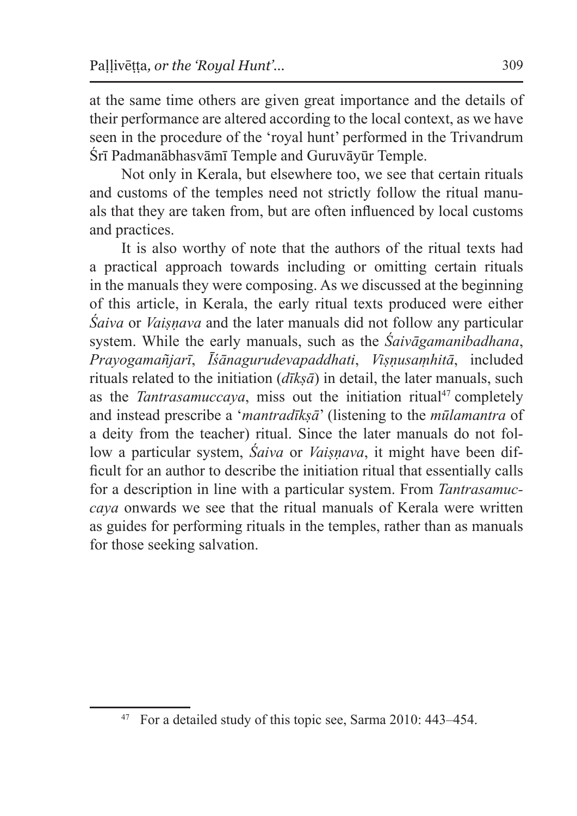at the same time others are given great importance and the details of their performance are altered according to the local context, as we have seen in the procedure of the 'royal hunt' performed in the Trivandrum Śrī Padmanābhasvāmī Temple and Guruvāyūr Temple.

Not only in Kerala, but elsewhere too, we see that certain rituals and customs of the temples need not strictly follow the ritual manuals that they are taken from, but are often influenced by local customs and practices.

It is also worthy of note that the authors of the ritual texts had a practical approach towards including or omitting certain rituals in the manuals they were composing. As we discussed at the beginning of this article, in Kerala, the early ritual texts produced were either *Śaiva* or *Vaiṣṇava* and the later manuals did not follow any particular system. While the early manuals, such as the *Śaivāgamanibadhana*, *Prayogamañjarī*, *Īśānagurudevapaddhati*, *Viṣṇusaṃhitā*, included rituals related to the initiation  $(d\vec{k} s\vec{a})$  in detail, the later manuals, such as the *Tantrasamuccaya*, miss out the initiation ritual<sup>47</sup> completely and instead prescribe a '*mantradīkṣā*' (listening to the *mūlamantra* of a deity from the teacher) ritual. Since the later manuals do not follow a particular system, *Śaiva* or *Vaiṣṇava*, it might have been difficult for an author to describe the initiation ritual that essentially calls for a description in line with a particular system. From *Tantrasamuccaya* onwards we see that the ritual manuals of Kerala were written as guides for performing rituals in the temples, rather than as manuals for those seeking salvation.

<sup>47</sup> For a detailed study of this topic see, Sarma 2010: 443–454.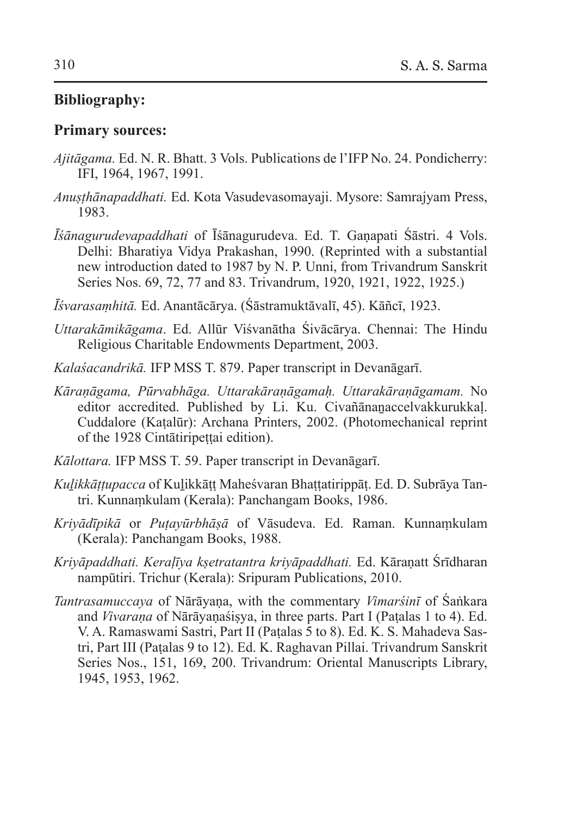### **Bibliography:**

#### **Primary sources:**

- *Ajitāgama.* Ed. N. R. Bhatt. 3 Vols. Publications de l'IFP No. 24. Pondicherry: IFI, 1964, 1967, 1991.
- *Anuṣṭhānapaddhati.* Ed. Kota Vasudevasomayaji. Mysore: Samrajyam Press, 1983.
- *Īśānagurudevapaddhati* of Īśānagurudeva. Ed. T. Gaṇapati Śāstri. 4 Vols. Delhi: Bharatiya Vidya Prakashan, 1990. (Reprinted with a substantial new introduction dated to 1987 by N. P. Unni, from Trivandrum Sanskrit Series Nos. 69, 72, 77 and 83. Trivandrum, 1920, 1921, 1922, 1925.)
- *Īśvarasaṃhitā.* Ed. Anantācārya. (Śāstramuktāvalī, 45). Kāñcī, 1923.
- *Uttarakāmikāgama*. Ed. Allūr Viśvanātha Śivācārya. Chennai: The Hindu Religious Charitable Endowments Department, 2003.
- *Kalaśacandrikā.* IFP MSS T. 879. Paper transcript in Devanāgarī.
- *Kāraṇāgama, Pūrvabhāga. Uttarakāraṇāgamaḥ. Uttarakāraṇāgamam.* No editor accredited. Published by Li. Ku. Civañānaṉaccelvakkurukkaḷ. Cuddalore (Kaṭalūr): Archana Printers, 2002. (Photomechanical reprint of the 1928 Cintātiripeṭṭai edition).
- *Kālottara.* IFP MSS T. 59. Paper transcript in Devanāgarī.
- *Kuḻikkāṭṭupacca* of Kuḻikkāṭṭ Maheśvaran Bhaṭṭatirippāṭ. Ed. D. Subrāya Tantri. Kunnaṃkulam (Kerala): Panchangam Books, 1986.
- *Kriyādīpikā* or *Puṭayūrbhāṣā* of Vāsudeva. Ed. Raman. Kunnaṃkulam (Kerala): Panchangam Books, 1988.
- *Kriyāpaddhati. Keraḷīya kṣetratantra kriyāpaddhati.* Ed. Kāraṇatt Śrīdharan nampūtiri. Trichur (Kerala): Sripuram Publications, 2010.
- *Tantrasamuccaya* of Nārāyaṇa, with the commentary *Vimarśinī* of Śaṅkara and *Vivaraṇa* of Nārāyaṇaśiṣya, in three parts. Part I (Paṭalas 1 to 4). Ed. V. A. Ramaswami Sastri, Part II (Paṭalas 5 to 8). Ed. K. S. Mahadeva Sastri, Part III (Paṭalas 9 to 12). Ed. K. Raghavan Pillai. Trivandrum Sanskrit Series Nos., 151, 169, 200. Trivandrum: Oriental Manuscripts Library, 1945, 1953, 1962.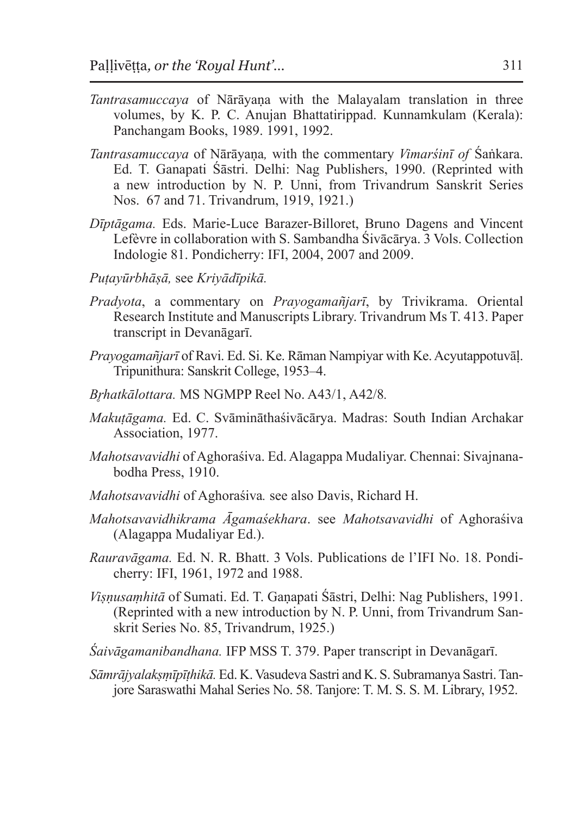- *Tantrasamuccaya* of Nārāyaṇa with the Malayalam translation in three volumes, by K. P. C. Anujan Bhattatirippad. Kunnamkulam (Kerala): Panchangam Books, 1989. 1991, 1992.
- *Tantrasamuccaya* of Nārāyaṇa*,* with the commentary *Vimarśinī of* Śaṅkara. Ed. T. Ganapati Śāstri. Delhi: Nag Publishers, 1990. (Reprinted with a new introduction by N. P. Unni, from Trivandrum Sanskrit Series Nos. 67 and 71. Trivandrum, 1919, 1921.)
- *Dīptāgama.* Eds. Marie-Luce Barazer-Billoret, Bruno Dagens and Vincent Lefèvre in collaboration with S. Sambandha Śivācārya. 3 Vols. Collection Indologie 81. Pondicherry: IFI, 2004, 2007 and 2009.
- *Puṭayūrbhāṣā,* see *Kriyādīpikā.*
- *Pradyota*, a commentary on *Prayogamañjarī*, by Trivikrama. Oriental Research Institute and Manuscripts Library. Trivandrum Ms T. 413. Paper transcript in Devanāgarī.
- *Prayogamañjarī* of Ravi. Ed. Si. Ke. Rāman Nampiyar with Ke.Acyutappotuvāḷ. Tripunithura: Sanskrit College, 1953–4.
- *Br̥hatkālottara.* MS NGMPP Reel No. A43/1, A42/8*.*
- *Makuṭāgama.* Ed. C. Svāmināthaśivācārya. Madras: South Indian Archakar Association, 1977.
- *Mahotsavavidhi* of Aghoraśiva. Ed. Alagappa Mudaliyar. Chennai: Sivajnanabodha Press, 1910.
- *Mahotsavavidhi* of Aghoraśiva*.* see also Davis, Richard H.
- *Mahotsavavidhikrama Āgamaśekhara*. see *Mahotsavavidhi* of Aghoraśiva (Alagappa Mudaliyar Ed.).
- *Rauravāgama.* Ed. N. R. Bhatt. 3 Vols. Publications de l'IFI No. 18. Pondicherry: IFI, 1961, 1972 and 1988.
- *Viṣṇusaṃhitā* of Sumati. Ed. T. Gaṇapati Śāstri, Delhi: Nag Publishers, 1991. (Reprinted with a new introduction by N. P. Unni, from Trivandrum Sanskrit Series No. 85, Trivandrum, 1925.)
- *Śaivāgamanibandhana.* IFP MSS T. 379. Paper transcript in Devanāgarī.
- *Sāmrājyalakṣṃīpīṭhikā.* Ed. K. Vasudeva Sastri and K. S. Subramanya Sastri. Tanjore Saraswathi Mahal Series No. 58. Tanjore: T. M. S. S. M. Library, 1952.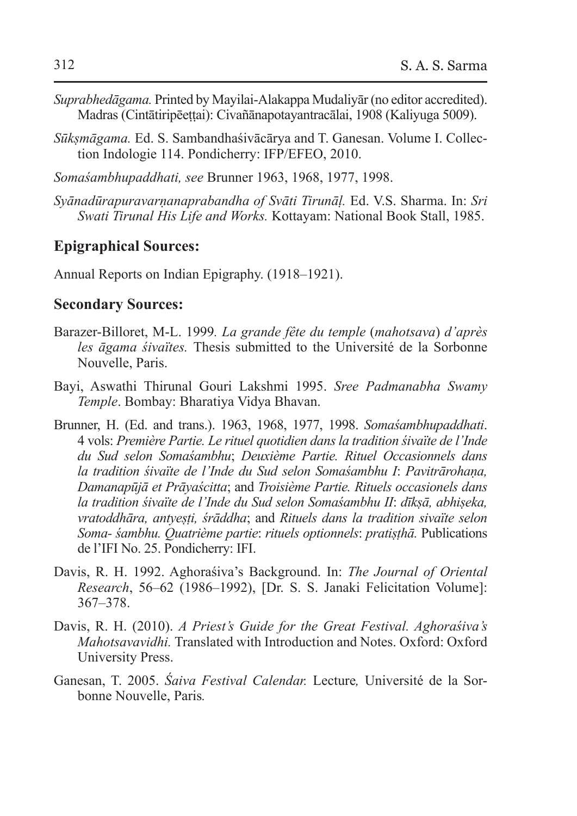- *Suprabhedāgama.* Printed by Mayilai-Alakappa Mudaliyār (no editor accredited). Madras (Cintātiripēeṭṭai): Civañānapotayantracālai, 1908 (Kaliyuga 5009).
- *Sūkṣmāgama.* Ed. S. Sambandhaśivācārya and T. Ganesan. Volume I. Collection Indologie 114. Pondicherry: IFP/EFEO, 2010.
- *Somaśambhupaddhati, see* Brunner 1963, 1968, 1977, 1998.
- *Syānadūrapuravarṇanaprabandha of Svāti Tirunāḷ.* Ed. V.S. Sharma. In: *Sri Swati Tirunal His Life and Works.* Kottayam: National Book Stall, 1985.

#### **Epigraphical Sources:**

Annual Reports on Indian Epigraphy. (1918–1921).

#### **Secondary Sources:**

- Barazer-Billoret, M-L. 1999*. La grande fête du temple* (*mahotsava*) *d'après les āgama śivaïtes.* Thesis submitted to the Université de la Sorbonne Nouvelle, Paris.
- Bayi, Aswathi Thirunal Gouri Lakshmi 1995. *Sree Padmanabha Swamy Temple*. Bombay: Bharatiya Vidya Bhavan.
- Brunner, H. (Ed. and trans.). 1963, 1968, 1977, 1998. *Somaśambhupaddhati*. 4 vols: *Première Partie. Le rituel quotidien dans la tradition śivaïte de l'Inde du Sud selon Somaśambhu*; *Deuxième Partie. Rituel Occasionnels dans la tradition śivaïte de l'Inde du Sud selon Somaśambhu I*: *Pavitrārohaṇa, Damanapūjā et Prāyaścitta*; and *Troisième Partie. Rituels occasionels dans la tradition śivaïte de l'Inde du Sud selon Somaśambhu II*: *dīkṣā, abhiṣeka, vratoddhāra, antyeṣṭi, śrāddha*; and *Rituels dans la tradition sivaïte selon Soma- śambhu. Quatrième partie*: *rituels optionnels*: *pratiṣṭhā.* Publications de l'IFI No. 25. Pondicherry: IFI.
- Davis, R. H. 1992. Aghoraśiva's Background. In: *The Journal of Oriental Research*, 56–62 (1986–1992), [Dr. S. S. Janaki Felicitation Volume]: 367–378.
- Davis, R. H. (2010). *A Priest's Guide for the Great Festival. Aghoraśiva's Mahotsavavidhi.* Translated with Introduction and Notes. Oxford: Oxford University Press.
- Ganesan, T. 2005. *Śaiva Festival Calendar.* Lecture*,* Université de la Sorbonne Nouvelle, Paris*.*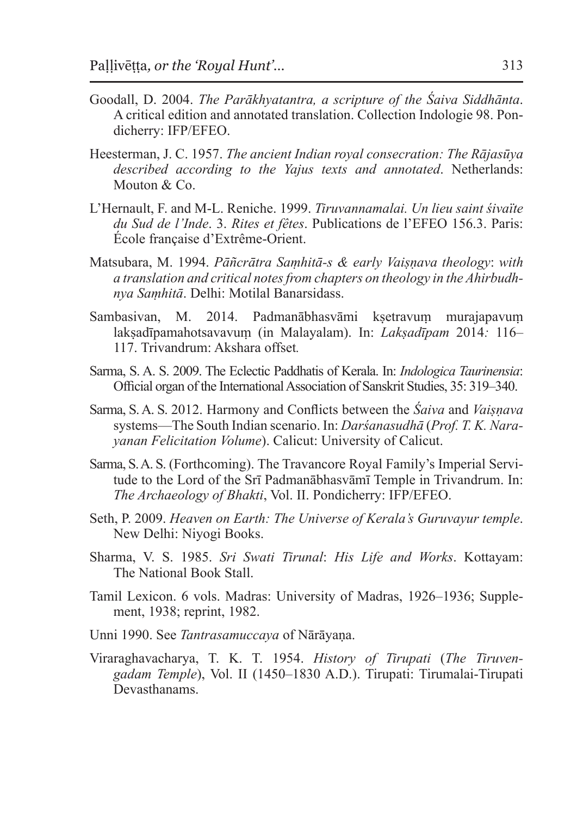- Goodall, D. 2004. *The Parākhyatantra, a scripture of the Śaiva Siddhānta*. A critical edition and annotated translation. Collection Indologie 98. Pondicherry: IFP/EFEO.
- Heesterman, J. C. 1957. *The ancient Indian royal consecration: The Rājasūya described according to the Yajus texts and annotated*. Netherlands: Mouton & Co.
- L'Hernault, F. and M-L. Reniche. 1999. *Tiruvannamalai. Un lieu saint śivaïte du Sud de l'Inde*. 3. *Rites et fêtes*. Publications de l'EFEO 156.3. Paris: École française d'Extrême-Orient.
- Matsubara, M. 1994. *Pāñcrātra Saṃhitā-s & early Vaiṣṇava theology*: *with a translation and critical notes from chapters on theology in the Ahirbudhnya Saṃhitā*. Delhi: Motilal Banarsidass.
- Sambasivan, M. 2014. Padmanābhasvāmi kṣetravum murajapavum lakṣadīpamahotsavavuṃ (in Malayalam). In: *Lakṣadīpam* 2014*:* 116– 117. Trivandrum: Akshara offset*.*
- Sarma, S. A. S. 2009. The Eclectic Paddhatis of Kerala. In: *Indologica Taurinensia*: Official organ of the International Association of Sanskrit Studies, 35: 319–340.
- Sarma, S. A. S. 2012. Harmony and Conflicts between the *Śaiva* and *Vaiṣṇava* systems—The South Indian scenario. In: *Darśanasudhā* (*Prof. T. K. Narayanan Felicitation Volume*). Calicut: University of Calicut.
- Sarma, S. A. S. (Forthcoming). The Travancore Royal Family's Imperial Servitude to the Lord of the Srī Padmanābhasvāmī Temple in Trivandrum. In: *The Archaeology of Bhakti*, Vol. II. Pondicherry: IFP/EFEO.
- Seth, P. 2009. *Heaven on Earth: The Universe of Kerala's Guruvayur temple*. New Delhi: Niyogi Books.
- Sharma, V. S. 1985. *Sri Swati Tirunal*: *His Life and Works*. Kottayam: The National Book Stall.
- Tamil Lexicon. 6 vols. Madras: University of Madras, 1926–1936; Supplement, 1938; reprint, 1982.
- Unni 1990. See *Tantrasamuccaya* of Nārāyaṇa.
- Viraraghavacharya, T. K. T. 1954. *History of Tirupati* (*The Tiruvengadam Temple*), Vol. II (1450–1830 A.D.). Tirupati: Tirumalai-Tirupati Devasthanams.